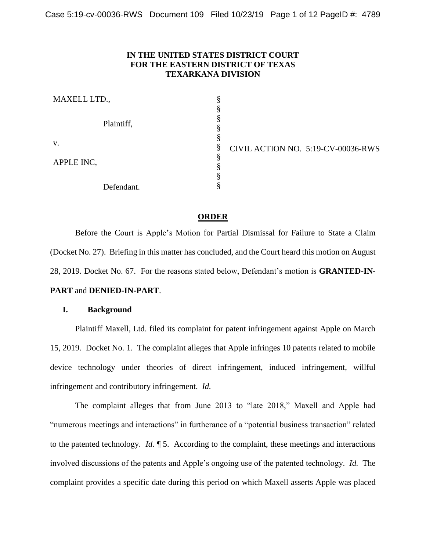## **IN THE UNITED STATES DISTRICT COURT FOR THE EASTERN DISTRICT OF TEXAS TEXARKANA DIVISION**

| MAXELL LTD., |            |   |  |
|--------------|------------|---|--|
|              | Plaintiff, |   |  |
|              |            |   |  |
|              |            |   |  |
| V.           |            | § |  |
| APPLE INC,   |            |   |  |
|              |            |   |  |
|              |            | e |  |
|              | Defendant. | e |  |

CIVIL ACTION NO. 5:19-CV-00036-RWS

#### **ORDER**

Before the Court is Apple's Motion for Partial Dismissal for Failure to State a Claim (Docket No. 27). Briefing in this matter has concluded, and the Court heard this motion on August 28, 2019. Docket No. 67. For the reasons stated below, Defendant's motion is **GRANTED-IN-**

# **PART** and **DENIED-IN-PART**.

## **I. Background**

Plaintiff Maxell, Ltd. filed its complaint for patent infringement against Apple on March 15, 2019. Docket No. 1. The complaint alleges that Apple infringes 10 patents related to mobile device technology under theories of direct infringement, induced infringement, willful infringement and contributory infringement. *Id.*

The complaint alleges that from June 2013 to "late 2018," Maxell and Apple had "numerous meetings and interactions" in furtherance of a "potential business transaction" related to the patented technology. *Id.* ¶ 5. According to the complaint, these meetings and interactions involved discussions of the patents and Apple's ongoing use of the patented technology. *Id.* The complaint provides a specific date during this period on which Maxell asserts Apple was placed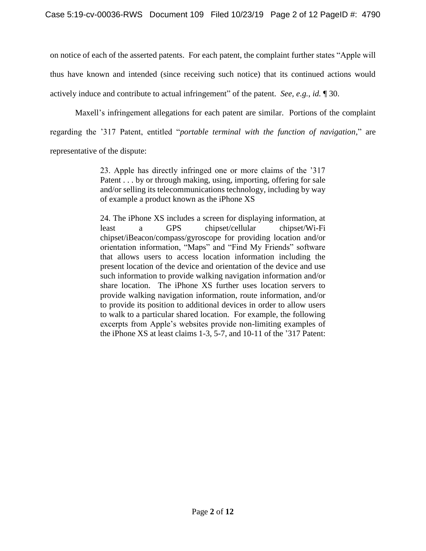on notice of each of the asserted patents. For each patent, the complaint further states "Apple will thus have known and intended (since receiving such notice) that its continued actions would actively induce and contribute to actual infringement" of the patent. *See, e.g.*, *id.* ¶ 30.

Maxell's infringement allegations for each patent are similar. Portions of the complaint regarding the '317 Patent, entitled "*portable terminal with the function of navigation*," are representative of the dispute:

> 23. Apple has directly infringed one or more claims of the '317 Patent . . . by or through making, using, importing, offering for sale and/or selling its telecommunications technology, including by way of example a product known as the iPhone XS

> 24. The iPhone XS includes a screen for displaying information, at least a GPS chipset/cellular chipset/Wi-Fi chipset/iBeacon/compass/gyroscope for providing location and/or orientation information, "Maps" and "Find My Friends" software that allows users to access location information including the present location of the device and orientation of the device and use such information to provide walking navigation information and/or share location. The iPhone XS further uses location servers to provide walking navigation information, route information, and/or to provide its position to additional devices in order to allow users to walk to a particular shared location. For example, the following excerpts from Apple's websites provide non-limiting examples of the iPhone XS at least claims 1-3, 5-7, and 10-11 of the '317 Patent: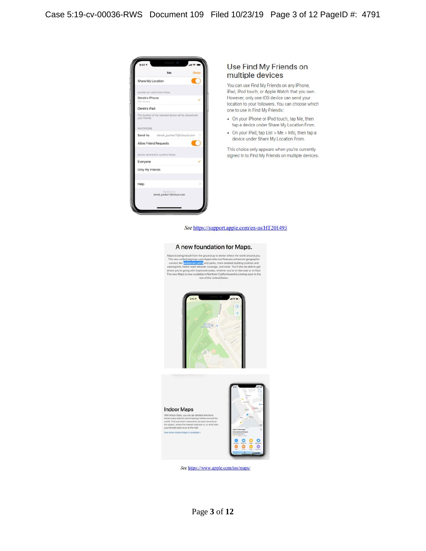

#### Use Find My Friends on multiple devices

You can use Find My Friends on any iPhone, iPad, iPod touch, or Apple Watch that you own. However, only one iOS device can send your location to your followers. You can choose which one to use in Find My Friends:

- On your iPhone or iPod touch, tap Me, then tap a device under Share My Location From.
- On your iPad, tap List > Me > Info, then tap a device under Share My Location From.

This choice only appears when you're currently signed in to Find My Friends on multiple devices.

#### See https://support.apple.com/en-us/HT201493

#### A new foundation for Maps.





See https://www.apple.com/ios/maps/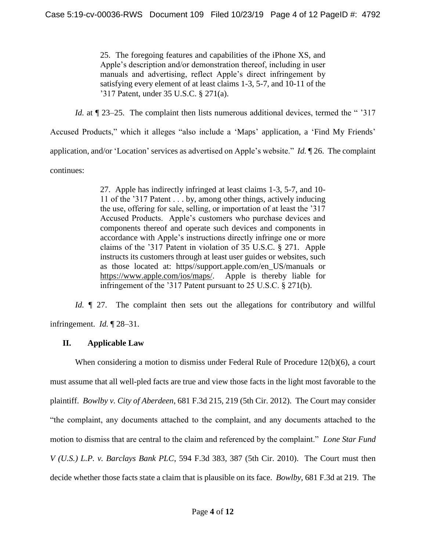25. The foregoing features and capabilities of the iPhone XS, and Apple's description and/or demonstration thereof, including in user manuals and advertising, reflect Apple's direct infringement by satisfying every element of at least claims 1-3, 5-7, and 10-11 of the '317 Patent, under 35 U.S.C. § 271(a).

*Id.* at  $\sqrt{23-25}$ . The complaint then lists numerous additional devices, termed the " '317

Accused Products," which it alleges "also include a 'Maps' application, a 'Find My Friends'

application, and/or 'Location' services as advertised on Apple's website." *Id.* ¶ 26. The complaint

continues:

27. Apple has indirectly infringed at least claims 1-3, 5-7, and 10- 11 of the '317 Patent . . . by, among other things, actively inducing the use, offering for sale, selling, or importation of at least the '317 Accused Products. Apple's customers who purchase devices and components thereof and operate such devices and components in accordance with Apple's instructions directly infringe one or more claims of the '317 Patent in violation of 35 U.S.C. § 271. Apple instructs its customers through at least user guides or websites, such as those located at: https//support.apple.com/en\_US/manuals or https://www.apple.com/ios/maps/. Apple is thereby liable for infringement of the '317 Patent pursuant to 25 U.S.C. § 271(b).

*Id.*  $\llbracket$  27. The complaint then sets out the allegations for contributory and willful infringement. *Id.* ¶ 28–31.

# **II. Applicable Law**

When considering a motion to dismiss under Federal Rule of Procedure 12(b)(6), a court must assume that all well-pled facts are true and view those facts in the light most favorable to the plaintiff. *Bowlby v. City of Aberdeen*, 681 F.3d 215, 219 (5th Cir. 2012). The Court may consider "the complaint, any documents attached to the complaint, and any documents attached to the motion to dismiss that are central to the claim and referenced by the complaint." *Lone Star Fund V (U.S.) L.P. v. Barclays Bank PLC*, 594 F.3d 383, 387 (5th Cir. 2010). The Court must then decide whether those facts state a claim that is plausible on its face. *Bowlby*, 681 F.3d at 219. The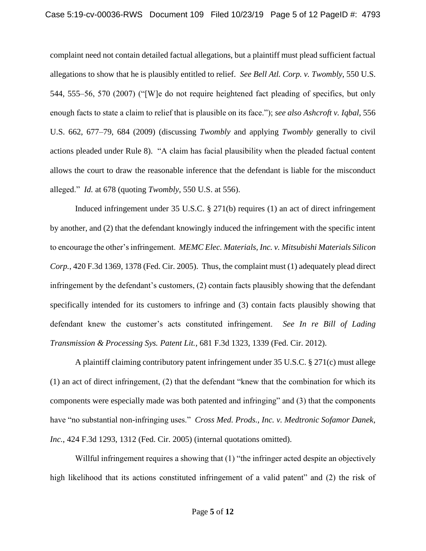complaint need not contain detailed factual allegations, but a plaintiff must plead sufficient factual allegations to show that he is plausibly entitled to relief. *See Bell Atl. Corp. v. Twombly*, 550 U.S. 544, 555–56, 570 (2007) ("[W]e do not require heightened fact pleading of specifics, but only enough facts to state a claim to relief that is plausible on its face."); *see also Ashcroft v. Iqbal*, 556 U.S. 662, 677–79, 684 (2009) (discussing *Twombly* and applying *Twombly* generally to civil actions pleaded under Rule 8). "A claim has facial plausibility when the pleaded factual content allows the court to draw the reasonable inference that the defendant is liable for the misconduct alleged." *Id.* at 678 (quoting *Twombly*, 550 U.S. at 556).

Induced infringement under 35 U.S.C. § 271(b) requires (1) an act of direct infringement by another, and (2) that the defendant knowingly induced the infringement with the specific intent to encourage the other's infringement. *MEMC Elec. Materials, Inc. v. Mitsubishi Materials Silicon Corp.*, 420 F.3d 1369, 1378 (Fed. Cir. 2005). Thus, the complaint must (1) adequately plead direct infringement by the defendant's customers, (2) contain facts plausibly showing that the defendant specifically intended for its customers to infringe and (3) contain facts plausibly showing that defendant knew the customer's acts constituted infringement. *See In re Bill of Lading Transmission & Processing Sys. Patent Lit.*, 681 F.3d 1323, 1339 (Fed. Cir. 2012).

A plaintiff claiming contributory patent infringement under 35 U.S.C. § 271(c) must allege (1) an act of direct infringement, (2) that the defendant "knew that the combination for which its components were especially made was both patented and infringing" and (3) that the components have "no substantial non-infringing uses." *Cross Med. Prods., Inc. v. Medtronic Sofamor Danek, Inc.*, 424 F.3d 1293, 1312 (Fed. Cir. 2005) (internal quotations omitted).

Willful infringement requires a showing that  $(1)$  "the infringer acted despite an objectively high likelihood that its actions constituted infringement of a valid patent" and (2) the risk of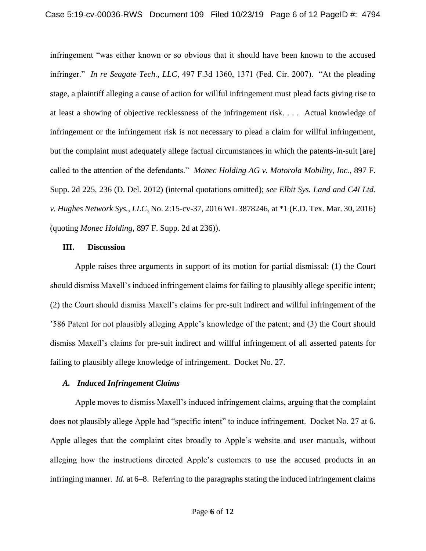infringement "was either known or so obvious that it should have been known to the accused infringer." *In re Seagate Tech., LLC*, 497 F.3d 1360, 1371 (Fed. Cir. 2007). "At the pleading stage, a plaintiff alleging a cause of action for willful infringement must plead facts giving rise to at least a showing of objective recklessness of the infringement risk. . . . Actual knowledge of infringement or the infringement risk is not necessary to plead a claim for willful infringement, but the complaint must adequately allege factual circumstances in which the patents-in-suit [are] called to the attention of the defendants." *Monec Holding AG v. Motorola Mobility, Inc.*, 897 F. Supp. 2d 225, 236 (D. Del. 2012) (internal quotations omitted); *see Elbit Sys. Land and C4I Ltd. v. Hughes Network Sys., LLC*, No. 2:15-cv-37, 2016 WL 3878246, at \*1 (E.D. Tex. Mar. 30, 2016) (quoting *Monec Holding*, 897 F. Supp. 2d at 236)).

#### **III. Discussion**

Apple raises three arguments in support of its motion for partial dismissal: (1) the Court should dismiss Maxell's induced infringement claims for failing to plausibly allege specific intent; (2) the Court should dismiss Maxell's claims for pre-suit indirect and willful infringement of the '586 Patent for not plausibly alleging Apple's knowledge of the patent; and (3) the Court should dismiss Maxell's claims for pre-suit indirect and willful infringement of all asserted patents for failing to plausibly allege knowledge of infringement. Docket No. 27.

# *A. Induced Infringement Claims*

Apple moves to dismiss Maxell's induced infringement claims, arguing that the complaint does not plausibly allege Apple had "specific intent" to induce infringement. Docket No. 27 at 6. Apple alleges that the complaint cites broadly to Apple's website and user manuals, without alleging how the instructions directed Apple's customers to use the accused products in an infringing manner. *Id.* at 6–8. Referring to the paragraphs stating the induced infringement claims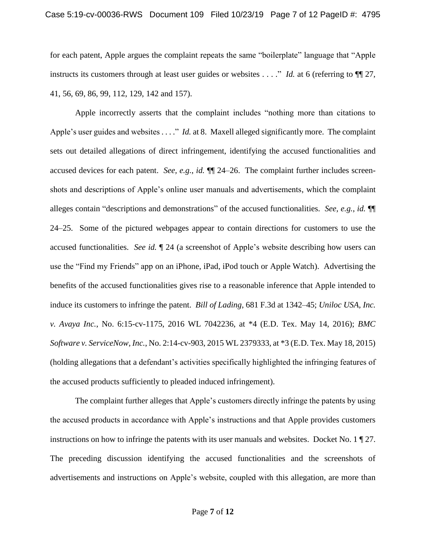### Case 5:19-cv-00036-RWS Document 109 Filed 10/23/19 Page 7 of 12 PageID #: 4795

for each patent, Apple argues the complaint repeats the same "boilerplate" language that "Apple instructs its customers through at least user guides or websites . . . ." *Id.* at 6 (referring to  $\P$  27, 41, 56, 69, 86, 99, 112, 129, 142 and 157).

Apple incorrectly asserts that the complaint includes "nothing more than citations to Apple's user guides and websites . . . ." *Id.* at 8. Maxell alleged significantly more. The complaint sets out detailed allegations of direct infringement, identifying the accused functionalities and accused devices for each patent. *See, e.g.*, *id.* ¶¶ 24–26. The complaint further includes screenshots and descriptions of Apple's online user manuals and advertisements, which the complaint alleges contain "descriptions and demonstrations" of the accused functionalities. *See, e.g.*, *id.* ¶¶ 24–25. Some of the pictured webpages appear to contain directions for customers to use the accused functionalities. *See id.* ¶ 24 (a screenshot of Apple's website describing how users can use the "Find my Friends" app on an iPhone, iPad, iPod touch or Apple Watch). Advertising the benefits of the accused functionalities gives rise to a reasonable inference that Apple intended to induce its customers to infringe the patent. *Bill of Lading*, 681 F.3d at 1342–45; *Uniloc USA, Inc. v. Avaya Inc.*, No. 6:15-cv-1175, 2016 WL 7042236, at \*4 (E.D. Tex. May 14, 2016); *BMC Software v. ServiceNow, Inc.*, No. 2:14-cv-903, 2015 WL 2379333, at \*3 (E.D. Tex. May 18, 2015) (holding allegations that a defendant's activities specifically highlighted the infringing features of the accused products sufficiently to pleaded induced infringement).

The complaint further alleges that Apple's customers directly infringe the patents by using the accused products in accordance with Apple's instructions and that Apple provides customers instructions on how to infringe the patents with its user manuals and websites. Docket No.  $1 \nvert 27$ . The preceding discussion identifying the accused functionalities and the screenshots of advertisements and instructions on Apple's website, coupled with this allegation, are more than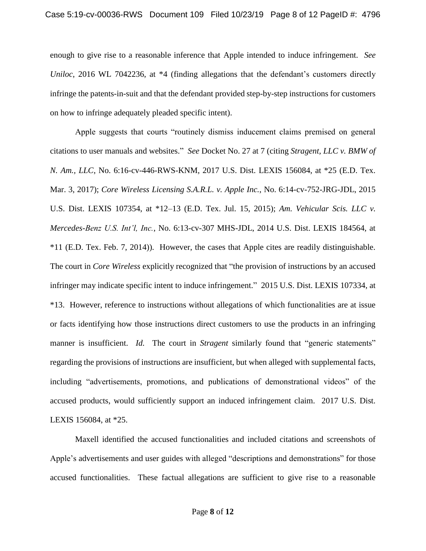enough to give rise to a reasonable inference that Apple intended to induce infringement. *See Uniloc*, 2016 WL 7042236, at \*4 (finding allegations that the defendant's customers directly infringe the patents-in-suit and that the defendant provided step-by-step instructions for customers on how to infringe adequately pleaded specific intent).

Apple suggests that courts "routinely dismiss inducement claims premised on general citations to user manuals and websites." *See* Docket No. 27 at 7 (citing *Stragent, LLC v. BMW of N. Am., LLC*, No. 6:16-cv-446-RWS-KNM, 2017 U.S. Dist. LEXIS 156084, at \*25 (E.D. Tex. Mar. 3, 2017); *Core Wireless Licensing S.A.R.L. v. Apple Inc.*, No. 6:14-cv-752-JRG-JDL, 2015 U.S. Dist. LEXIS 107354, at \*12–13 (E.D. Tex. Jul. 15, 2015); *Am. Vehicular Scis. LLC v. Mercedes-Benz U.S. Int'l, Inc.*, No. 6:13-cv-307 MHS-JDL, 2014 U.S. Dist. LEXIS 184564, at \*11 (E.D. Tex. Feb. 7, 2014)). However, the cases that Apple cites are readily distinguishable. The court in *Core Wireless* explicitly recognized that "the provision of instructions by an accused infringer may indicate specific intent to induce infringement." 2015 U.S. Dist. LEXIS 107334, at \*13. However, reference to instructions without allegations of which functionalities are at issue or facts identifying how those instructions direct customers to use the products in an infringing manner is insufficient. *Id.* The court in *Stragent* similarly found that "generic statements" regarding the provisions of instructions are insufficient, but when alleged with supplemental facts, including "advertisements, promotions, and publications of demonstrational videos" of the accused products, would sufficiently support an induced infringement claim. 2017 U.S. Dist. LEXIS 156084, at \*25.

Maxell identified the accused functionalities and included citations and screenshots of Apple's advertisements and user guides with alleged "descriptions and demonstrations" for those accused functionalities. These factual allegations are sufficient to give rise to a reasonable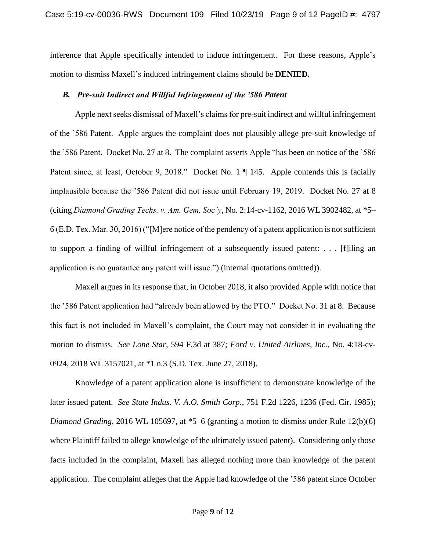inference that Apple specifically intended to induce infringement. For these reasons, Apple's motion to dismiss Maxell's induced infringement claims should be **DENIED.**

### *B. Pre-suit Indirect and Willful Infringement of the '586 Patent*

Apple next seeks dismissal of Maxell's claims for pre-suit indirect and willful infringement of the '586 Patent. Apple argues the complaint does not plausibly allege pre-suit knowledge of the '586 Patent. Docket No. 27 at 8. The complaint asserts Apple "has been on notice of the '586 Patent since, at least, October 9, 2018." Docket No. 1 | 145. Apple contends this is facially implausible because the '586 Patent did not issue until February 19, 2019. Docket No. 27 at 8 (citing *Diamond Grading Techs. v. Am. Gem. Soc'y*, No. 2:14-cv-1162, 2016 WL 3902482, at \*5– 6 (E.D. Tex. Mar. 30, 2016) ("[M]ere notice of the pendency of a patent application is not sufficient to support a finding of willful infringement of a subsequently issued patent: . . . [f]iling an application is no guarantee any patent will issue.") (internal quotations omitted)).

Maxell argues in its response that, in October 2018, it also provided Apple with notice that the '586 Patent application had "already been allowed by the PTO." Docket No. 31 at 8.Because this fact is not included in Maxell's complaint, the Court may not consider it in evaluating the motion to dismiss. *See Lone Star*, 594 F.3d at 387; *Ford v. United Airlines, Inc.*, No. 4:18-cv-0924, 2018 WL 3157021, at \*1 n.3 (S.D. Tex. June 27, 2018).

Knowledge of a patent application alone is insufficient to demonstrate knowledge of the later issued patent. *See State Indus. V. A.O. Smith Corp.*, 751 F.2d 1226, 1236 (Fed. Cir. 1985); *Diamond Grading*, 2016 WL 105697, at \*5–6 (granting a motion to dismiss under Rule 12(b)(6) where Plaintiff failed to allege knowledge of the ultimately issued patent). Considering only those facts included in the complaint, Maxell has alleged nothing more than knowledge of the patent application. The complaint alleges that the Apple had knowledge of the '586 patent since October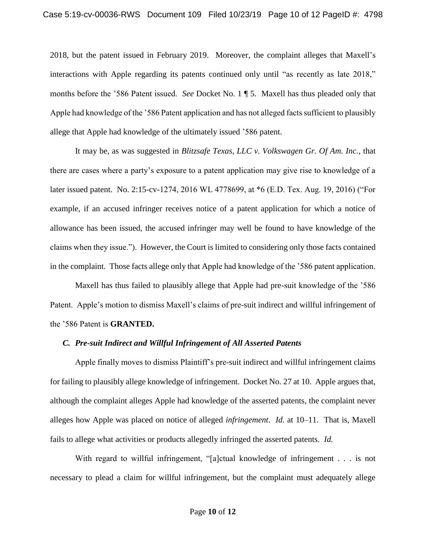2018, but the patent issued in February 2019. Moreover, the complaint alleges that Maxell's interactions with Apple regarding its patents continued only until "as recently as late 2018," months before the '586 Patent issued. *See* Docket No. 1 ¶ 5. Maxell has thus pleaded only that Apple had knowledge of the '586 Patent application and has not alleged facts sufficient to plausibly allege that Apple had knowledge of the ultimately issued '586 patent.

It may be, as was suggested in *Blitzsafe Texas, LLC v. Volkswagen Gr. Of Am. Inc.*, that there are cases where a party's exposure to a patent application may give rise to knowledge of a later issued patent. No. 2:15-cv-1274, 2016 WL 4778699, at \*6 (E.D. Tex. Aug. 19, 2016) ("For example, if an accused infringer receives notice of a patent application for which a notice of allowance has been issued, the accused infringer may well be found to have knowledge of the claims when they issue."). However, the Court is limited to considering only those facts contained in the complaint. Those facts allege only that Apple had knowledge of the '586 patent application.

Maxell has thus failed to plausibly allege that Apple had pre-suit knowledge of the '586 Patent. Apple's motion to dismiss Maxell's claims of pre-suit indirect and willful infringement of the '586 Patent is **GRANTED.** 

#### *C. Pre-suit Indirect and Willful Infringement of All Asserted Patents*

Apple finally moves to dismiss Plaintiff's pre-suit indirect and willful infringement claims for failing to plausibly allege knowledge of infringement. Docket No. 27 at 10. Apple argues that, although the complaint alleges Apple had knowledge of the asserted patents, the complaint never alleges how Apple was placed on notice of alleged *infringement*. *Id.* at 10–11. That is, Maxell fails to allege what activities or products allegedly infringed the asserted patents. *Id.*

With regard to willful infringement, "[a]ctual knowledge of infringement . . . is not necessary to plead a claim for willful infringement, but the complaint must adequately allege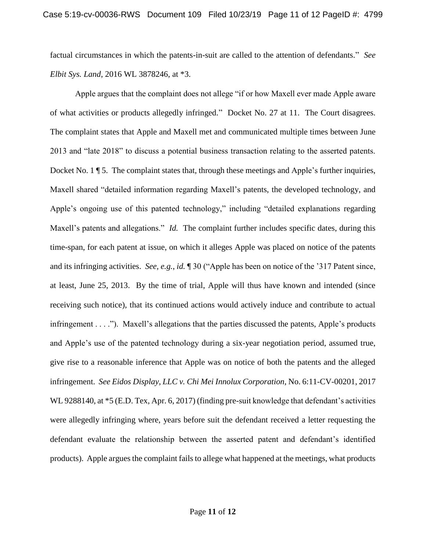factual circumstances in which the patents-in-suit are called to the attention of defendants." *See Elbit Sys. Land*, 2016 WL 3878246, at \*3.

Apple argues that the complaint does not allege "if or how Maxell ever made Apple aware of what activities or products allegedly infringed." Docket No. 27 at 11. The Court disagrees. The complaint states that Apple and Maxell met and communicated multiple times between June 2013 and "late 2018" to discuss a potential business transaction relating to the asserted patents. Docket No. 1  $\P$  5. The complaint states that, through these meetings and Apple's further inquiries, Maxell shared "detailed information regarding Maxell's patents, the developed technology, and Apple's ongoing use of this patented technology," including "detailed explanations regarding Maxell's patents and allegations." *Id.* The complaint further includes specific dates, during this time-span, for each patent at issue, on which it alleges Apple was placed on notice of the patents and its infringing activities. *See, e.g.*, *id.* ¶ 30 ("Apple has been on notice of the '317 Patent since, at least, June 25, 2013. By the time of trial, Apple will thus have known and intended (since receiving such notice), that its continued actions would actively induce and contribute to actual infringement . . . ."). Maxell's allegations that the parties discussed the patents, Apple's products and Apple's use of the patented technology during a six-year negotiation period, assumed true, give rise to a reasonable inference that Apple was on notice of both the patents and the alleged infringement. *See Eidos Display, LLC v. Chi Mei Innolux Corporation*, No. 6:11-CV-00201, 2017 WL 9288140, at \*5 (E.D. Tex, Apr. 6, 2017) (finding pre-suit knowledge that defendant's activities were allegedly infringing where, years before suit the defendant received a letter requesting the defendant evaluate the relationship between the asserted patent and defendant's identified products). Apple argues the complaint fails to allege what happened at the meetings, what products